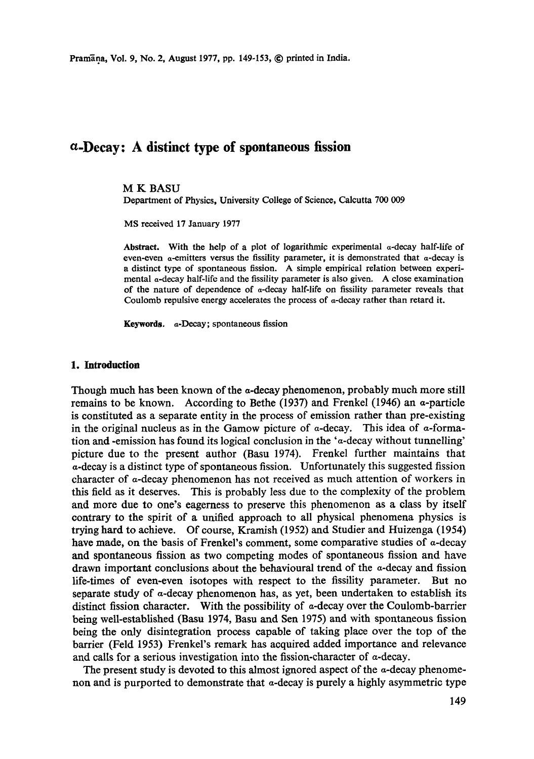Pramana, Vol. 9, No. 2, August 1977, pp. 149-153, © printed in India.

# **a-Decay: A distinct type of spontaneous fission**

M K BASU

Department of Physics, University College of Science, Calcutta 700 009

MS received 17 January 1977

**Abstract. With** the help of a plot of logarithmic experimental a-decay half-life of even-even  $\alpha$ -emitters versus the fissility parameter, it is demonstrated that  $\alpha$ -decay is a distinct type of spontaneous fission. A simple empirical relation between experimental  $\alpha$ -decay half-life and the fissility parameter is also given. A close examination of the nature of dependence of a-decay half-life on fissility parameter reveals that Coulomb repulsive energy accelerates the process of  $\alpha$ -decay rather than retard it.

Keywords. a-Decay; spontaneous **fission** 

#### **1. Introduction**

Though much has been known of the a-decay phenomenon, probably much more still remains to be known. According to Bethe (1937) and Frenkel (1946) an  $\alpha$ -particle is constituted as a separate entity in the process of emission rather than pre-existing in the original nucleus as in the Gamow picture of  $\alpha$ -decay. This idea of  $\alpha$ -formation and -emission has found its logical conclusion in the ' $\alpha$ -decay without tunnelling' picture due to the present author (Basu 1974). Frenkel further maintains that a-decay is a distinct type of spontaneous fission. Unfortunately this suggested fission character of a-decay phenomenon has not received as much attention of workers in this field as it deserves. This is probably less due to the complexity of the problem and more due to one's eagerness to preserve this phenomenon as a class by itself contrary to the spirit of a unified approach to all physical phenomena physics is trying hard to achieve. Of course, Kramish (1952) and Studier and Huizenga (1954) have made, on the basis of Frenkel's comment, some comparative studies of  $\alpha$ -decay and spontaneous fission as two competing modes of spontaneous fission and have drawn important conclusions about the behavioural trend of the  $\alpha$ -decay and fission life-times of even-even isotopes with respect to the fissility parameter. But no separate study of  $\alpha$ -decay phenomenon has, as yet, been undertaken to establish its distinct fission character. With the possibility of a-decay over the Coulomb-barrier being well-established (Basu 1974, Basu and Sen 1975) and with spontaneous fission being the only disintegration process capable of taking place over the top of the barrier (Feld 1953) Frenkel's remark has acquired added importance and relevance and calls for a serious investigation into the fission-character of a-decay.

The present study is devoted to this almost ignored aspect of the  $\alpha$ -decay phenomenon and is purported to demonstrate that  $\alpha$ -decay is purely a highly asymmetric type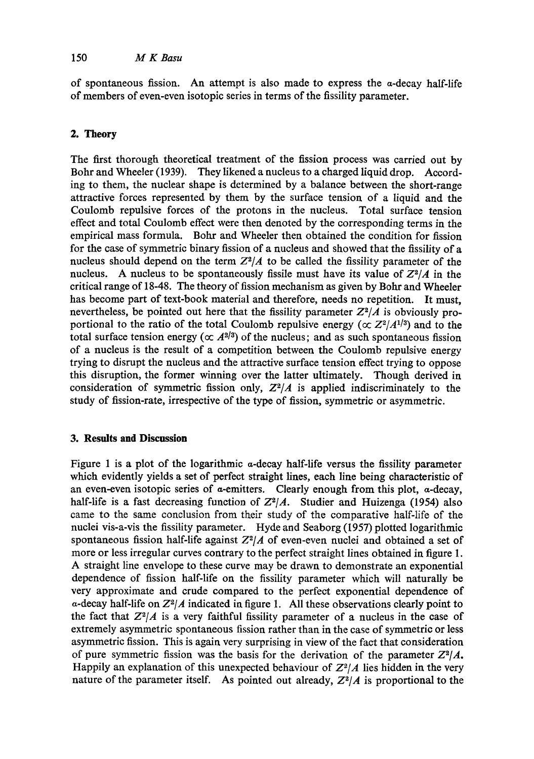### 150 *M K Basu*

of spontaneous fission. An attempt is also made to express the  $\alpha$ -decay half-life of members of even-even isotopic series in terms of the fissility parameter.

## 2. Theory

The first thorough theoretical treatment of the fission process was carried out by Bohr and Wheeler (1939). They likened a nucleus to a charged liquid drop. According to them, the nuclear shape is determined by a balance between the short-range attractive forces represented by them by the surface tension of a liquid and the Coulomb repulsive forces of the protons in the nucleus. Total surface tension effect and total Coulomb effect were then denoted by the corresponding terms in the empirical mass formula. Bohr and Wheeler then obtained the condition for fission for the case of symmetric binary fission of a nucleus and showed that the fissility of a nucleus should depend on the term  $Z^2/A$  to be called the fissility parameter of the nucleus. A nucleus to be spontaneously fissile must have its value of  $Z^2/A$  in the critical range of 18-48. The theory of fission mechanism as given by Bohr and Wheeler has become part of text-book material and therefore, needs no repetition. It must, nevertheless, be pointed out here that the fissility parameter  $Z^2/A$  is obviously proportional to the ratio of the total Coulomb repulsive energy ( $\propto Z^2/A^{1/3}$ ) and to the total surface tension energy ( $\propto A^{2/3}$ ) of the nucleus; and as such spontaneous fission of a nucleus is the result of a competition between the Coulomb repulsive energy trying to disrupt the nucleus and the attractive surface tension effect trying to oppose this disruption, the former winning over the latter ultimately. Though derived in consideration of symmetric fission only,  $Z^2/A$  is applied indiscriminately to the study of fission-rate, irrespective of the type of fission, symmetric or asymmetric.

### **3. Results and Discussion**

Figure 1 is a plot of the logarithmic  $\alpha$ -decay half-life versus the fissility parameter which evidently yields a set of perfect straight lines, each line being characteristic of an even-even isotopic series of  $\alpha$ -emitters. Clearly enough from this plot,  $\alpha$ -decay, half-life is a fast decreasing function of  $Z^2/A$ . Studier and Huizenga (1954) also came to the same conclusion from their study of the comparative half-life of the nuclei vis-a-vis the fissility parameter. Hyde and Seaborg (1957) plotted logarithmic spontaneous fission half-life against *Z2/A* of even-even nuclei and obtained a set of more or less irregular curves contrary to the perfect straight lines obtained in figure 1. A straight line envelope to these curve may be drawn to demonstrate an exponential dependence of fission half-fife on the fissility parameter which will naturally be very approximate and crude compared to the perfect exponential dependence of  $\alpha$ -decay half-life on  $Z^2/A$  indicated in figure 1. All these observations clearly point to the fact that  $Z^2/A$  is a very faithful fissility parameter of a nucleus in the case of extremely asymmetric spontaneous fission rather than in the case of symmetric or less asymmetric fission. This is again very surprising in view of the fact that consideration of pure symmetric fission was the basis for the derivation of the parameter  $Z^2/A$ . Happily an explanation of this unexpected behaviour of  $Z^2/A$  lies hidden in the very nature of the parameter itself. As pointed out already,  $Z^2/A$  is proportional to the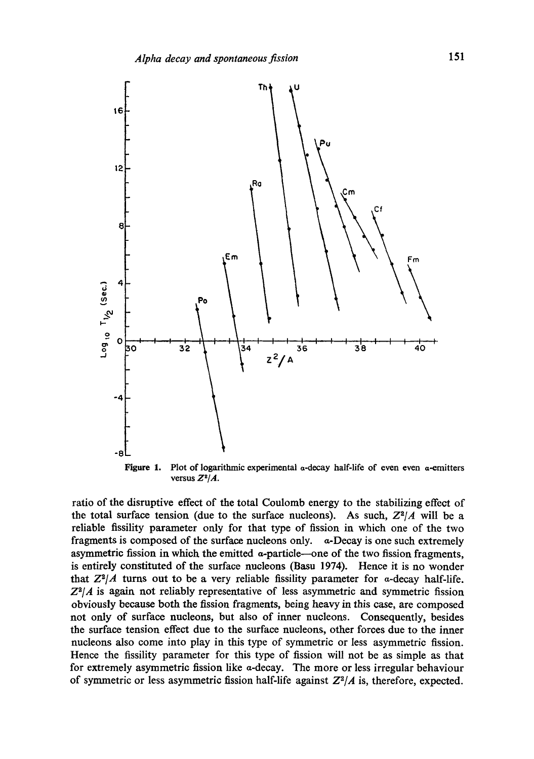

**Figure** 1. Plot of logarithmic experimental  $\alpha$ -decay half-life of even even  $\alpha$ -emitters versus  $Z^2/A$ .

ratio of the disruptive effect of the total Coulomb energy to the stabilizing effect of the total surface tension (due to the surface nucleons). As such,  $Z^2/A$  will be a reliable fissility parameter only for that type of fission in which one of the two fragments is composed of the surface nucleons only. a-Decay is one such extremely asymmetric fission in which the emitted a-particle--one of the two fission fragments, is entirely constituted of the surface nucleons (Basu 1974). Hence it is no wonder that  $Z^2/A$  turns out to be a very reliable fissility parameter for  $\alpha$ -decay half-life. *Z2/A* is again not reliably representative of less asymmetric and symmetric fission obviously because both the fission fragments, being heavy in this case, are composed not only of surface nucleons, but also of inner nucleons. Consequently, besides the surface tension effect due to the surface nuoleons, other forces due to the inner nucleons also come into play in this type of symmetric or less asymmetric fission. Hence the fissility parameter for this type of fission will not be as simple as that for extremely asymmetric fission like a-decay. The more or less irregular behaviour of symmetric or less asymmetric fission half-life against *Z2/A* is, therefore, expected.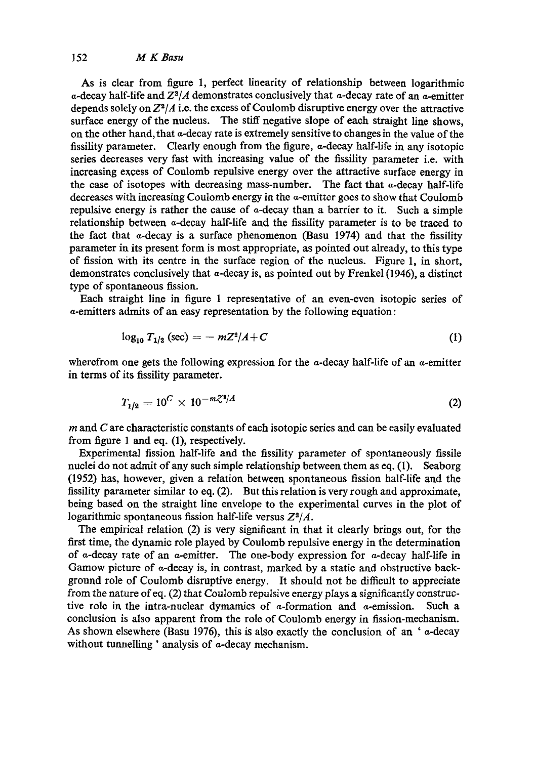As is clear from figure 1, perfect linearity of relationship between logarithmic a-decay half-life and  $Z^2/A$  demonstrates conclusively that a-decay rate of an a-emitter depends solely on  $Z^2/A$  i.e. the excess of Coulomb disruptive energy over the attractive surface energy of the nucleus. The stiff negative slope of each straight line shows, on the other hand, that a-decay rate is extremely sensitive to changes in the value of the fissility parameter. Clearly enough from the figure,  $\alpha$ -decay half-life in any isotopic series decreases very fast with increasing value of the fissility parameter i.e. with increasing excess of Coulomb repulsive energy over the attractive surface energy in the case of isotopes with decreasing mass-number. The fact that  $\alpha$ -decay half-life decreases with increasing Coulomb energy in the a-emitter goes to show that Coulomb repulsive energy is rather the cause of a-decay than a barrier to it. Such a simple relationship between a-decay half-life and the fissility parameter is to be traced to the fact that  $\alpha$ -decay is a surface phenomenon (Basu 1974) and that the fissility parameter in its present form is most appropriate, as pointed out already, to this type of fission with its centre in the surface region of the nucleus. Figure 1, in short, demonstrates conclusively that a-decay is, as pointed out by Frenkel (1946), a distinct type of spontaneous fission.

Each straight line in figure 1 representative of an even-even isotopic series of a-emitters admits of an easy representation by the following equation:

$$
\log_{10} T_{1/2} (\text{sec}) = -mZ^2/A + C \tag{1}
$$

wherefrom one gets the following expression for the  $\alpha$ -decay half-life of an  $\alpha$ -emitter in terms of its fissility parameter.

$$
T_{1/2} = 10^{C} \times 10^{-m} \zeta^{2}/A
$$
 (2)

 $m$  and  $C$  are characteristic constants of each isotopic series and can be easily evaluated from figure 1 and eq. (1), respectively.

Experimental fission half-life and the fissility parameter of spontaneously fissile nuclei do not admit of any such simple relationship between them as eq. (1). Seaborg (1952) has, however, given a relation between spontaneous fission half-life and the fissility parameter similar to eq. (2). But this relation is very rough and approximate, being based on the straight line envelope to the experimental curves in the plot of logarithmic spontaneous fission half-life versus  $Z^2/A$ .

The empirical relation (2) is very significant in that it clearly brings out, for the first time, the dynamic role played by Coulomb repulsive energy in the determination of a-decay rate of an a-emitter. The one-body expression for a-decay half-life in Gamow picture of a-decay is, in contrast, marked by a static and obstructive background role of Coulomb disruptive energy. It should not be difficult to appreciate from the nature of eq.  $(2)$  that Coulomb repulsive energy plays a significantly constructive role in the intra-nuclear dymamics of a-formation and a-emission. Such a conclusion is also apparent from the role of Coulomb energy in fission-mechanism. As shown elsewhere (Basu 1976), this is also exactly the conclusion of an ' a-decay without tunnelling ' analysis of a-decay mechanism.